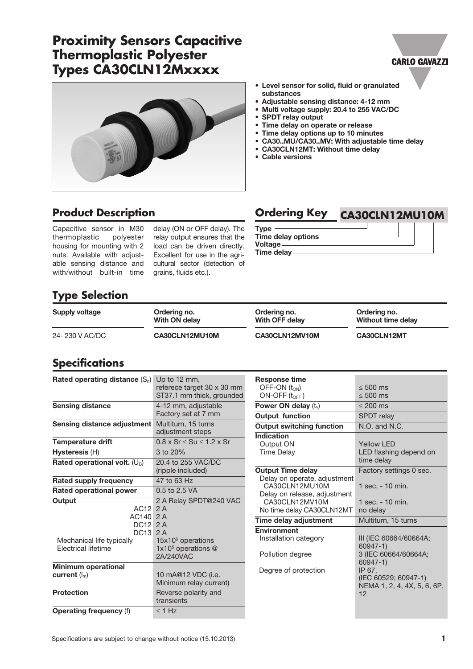# **Proximity Sensors Capacitive Thermoplastic Polyester Types CA30CLN12Mxxxx**



Capacitive sensor in M30 thermoplastic polyester housing for mounting with 2 nuts. Available with adjustable sensing distance and with/without built-in time

delay (ON or OFF delay). The relay output ensures that the load can be driven directly. Excellent for use in the agricultural sector (detection of grains, fluids etc.).

# **Product Description Ordering Key CA30CLN12MU10M**

• Level sensor for solid, fluid or granulated

• CA30..MU/CA30..MV: With adjustable time delay

• Adjustable sensing distance: 4-12 mm • Multi voltage supply: 20.4 to 255 VAC/DC

• Time delay on operate or release • Time delay options up to 10 minutes

• CA30CLN12MT: Without time delay

Type Time delay options -Voltage

substances

• SPDT relay output

• Cable versions

Time delay

# **Type Selection**

| Supply voltage | Ordering no.   | Ordering no.   | Ordering no.       |
|----------------|----------------|----------------|--------------------|
|                | With ON delay  | With OFF delay | Without time delay |
| 24-230 V AC/DC | CA30CLN12MU10M | CA30CLN12MV10M | CA30CLN12MT        |

#### **Specifications**

| Rated operating distance $(S_n)$          | Up to 12 mm,<br>referece target 30 x 30 mm<br>ST37.1 mm thick, grounded |  |  |
|-------------------------------------------|-------------------------------------------------------------------------|--|--|
| <b>Sensing distance</b>                   | 4-12 mm, adjustable                                                     |  |  |
|                                           | Factory set at 7 mm                                                     |  |  |
| Sensing distance adjustment               | Multiturn, 15 turns<br>adjustment steps                                 |  |  |
| <b>Temperature drift</b>                  | $0.8 \times Sr \leq Su \leq 1.2 \times Sr$                              |  |  |
| Hysteresis (H)                            | 3 to 20%                                                                |  |  |
| Rated operational volt. (U <sub>B</sub> ) | 20.4 to 255 VAC/DC                                                      |  |  |
|                                           | (ripple included)                                                       |  |  |
| Rated supply frequency                    | 47 to 63 Hz                                                             |  |  |
| <b>Rated operational power</b>            | 0.5 to 2.5 VA                                                           |  |  |
| Output                                    | 2 A Relay SPDT@240 VAC                                                  |  |  |
| $AC12$ 2 A                                |                                                                         |  |  |
| AC140 2 A                                 |                                                                         |  |  |
| DC12 2 A                                  |                                                                         |  |  |
| DC13 2 A                                  |                                                                         |  |  |
| Mechanical life typically                 | $15x106$ operations                                                     |  |  |
| <b>Flectrical lifetime</b>                | 1x10 <sup>5</sup> operations @                                          |  |  |
|                                           | 2A/240VAC                                                               |  |  |
| <b>Minimum operational</b>                |                                                                         |  |  |
| current $(I_m)$                           | 10 mA@12 VDC (i.e.                                                      |  |  |
|                                           | Minimum relay current)                                                  |  |  |
| <b>Protection</b>                         | Reverse polarity and                                                    |  |  |
|                                           | transients                                                              |  |  |
| <b>Operating frequency (f)</b>            | $\leq$ 1 Hz                                                             |  |  |

| <b>Response time</b>                           |                                                                     |  |
|------------------------------------------------|---------------------------------------------------------------------|--|
| OFF-ON (ton)                                   | $\leq 500 \text{ ms}$                                               |  |
| $ON-OFF$ ( $t_{OFF}$ )                         | $\leq 500$ ms                                                       |  |
| Power ON delay $(t_v)$                         | $\leq 200$ ms                                                       |  |
| <b>Output function</b>                         | <b>SPDT</b> relay                                                   |  |
| <b>Output switching function</b>               | $N.O.$ and $N.C.$                                                   |  |
| Indication                                     |                                                                     |  |
| Output ON                                      | Yellow I FD                                                         |  |
| <b>Time Delay</b>                              | LED flashing depend on<br>time delay                                |  |
| <b>Output Time delay</b>                       | Factory settings 0 sec.                                             |  |
| Delay on operate, adjustment<br>CA30CLN12MU10M | 1 sec. - 10 min.                                                    |  |
| Delay on release, adjustment                   |                                                                     |  |
| CA30CLN12MV10M                                 | 1 sec. $-10$ min.                                                   |  |
| No time delay CA30CLN12MT                      |                                                                     |  |
|                                                | no delay                                                            |  |
| Time delay adjustment                          | Multiturn, 15 turns                                                 |  |
| <b>Environment</b>                             |                                                                     |  |
| Installation category                          | III (IEC 60664/60664A;<br>60947-1)                                  |  |
| Pollution degree                               | 3 (IEC 60664/60664A;<br>60947-1)                                    |  |
| Degree of protection                           | IP 67.<br>(IEC 60529; 60947-1)<br>NEMA 1, 2, 4, 4X, 5, 6, 6P,<br>12 |  |

#### **CARLO GAVAZZI**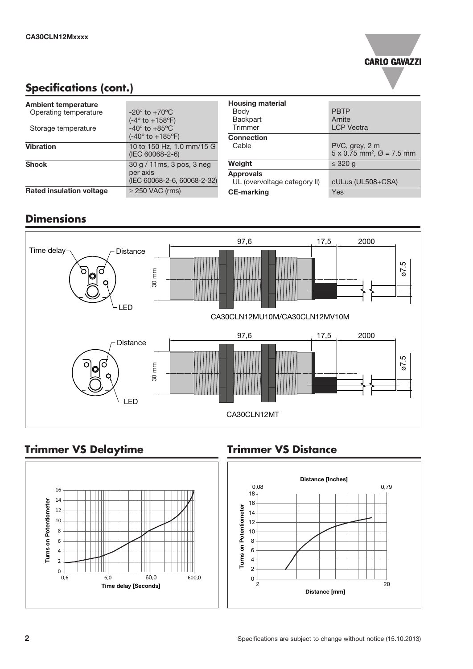# **CARLO GAVAZZI**

### **Specifications (cont.)**

| <b>Ambient temperature</b>      |                                                                                                         |
|---------------------------------|---------------------------------------------------------------------------------------------------------|
| Operating temperature           | $-20^{\circ}$ to $+70^{\circ}$ C                                                                        |
| Storage temperature             | $(-4^{\circ}$ to $+158^{\circ}F)$<br>$-40^\circ$ to $+85^\circ$ C<br>$(-40^{\circ}$ to $+185^{\circ}F)$ |
| <b>Vibration</b>                | 10 to 150 Hz, 1.0 mm/15 G<br>(IEC 60068-2-6)                                                            |
| <b>Shock</b>                    | 30 g / 11ms, 3 pos, 3 neg<br>per axis<br>(IEC 60068-2-6, 60068-2-32)                                    |
| <b>Rated insulation voltage</b> | $\geq$ 250 VAC (rms)                                                                                    |

| <b>Housing material</b><br>Body<br>Backpart<br>Trimmer                | <b>PBTP</b><br>Arnite<br><b>LCP</b> Vectra                                 |  |
|-----------------------------------------------------------------------|----------------------------------------------------------------------------|--|
| <b>Connection</b><br>Cable                                            | PVC, grey, 2 m<br>$5 \times 0.75$ mm <sup>2</sup> , $\varnothing = 7.5$ mm |  |
| Weight                                                                | $\leq$ 320 g                                                               |  |
| <b>Approvals</b><br>UL (overvoltage category II)<br><b>CE-marking</b> | cULus (UL508+CSA)<br>Yes                                                   |  |

#### **Dimensions**



# **Trimmer VS Delaytime**



### **Trimmer VS Distance**

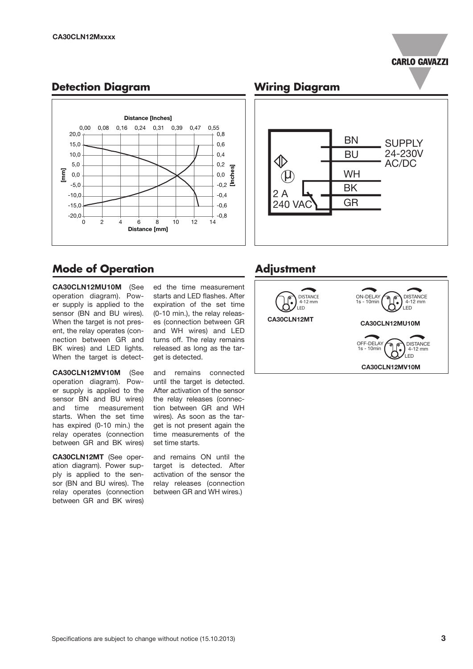#### **CARLO GAVAZZI**

#### **Detection Diagram**



#### **Mode of Operation**

CA30CLN12MU10M (See operation diagram). Power supply is applied to the sensor (BN and BU wires). When the target is not present, the relay operates (connection between GR and BK wires) and LED lights. When the target is detect-

CA30CLN12MV10M (See operation diagram). Power supply is applied to the sensor BN and BU wires) and time measurement starts. When the set time has expired (0-10 min.) the relay operates (connection between GR and BK wires)

CA30CLN12MT (See operation diagram). Power supply is applied to the sensor (BN and BU wires). The relay operates (connection between GR and BK wires)

ed the time measurement starts and LED flashes. After expiration of the set time (0-10 min.), the relay releases (connection between GR and WH wires) and LED turns off. The relay remains released as long as the target is detected.

and remains connected until the target is detected. After activation of the sensor the relay releases (connection between GR and WH wires). As soon as the target is not present again the time measurements of the set time starts.

and remains ON until the target is detected. After activation of the sensor the relay releases (connection between GR and WH wires.)

#### **Wiring Diagram**



#### **Adjustment**